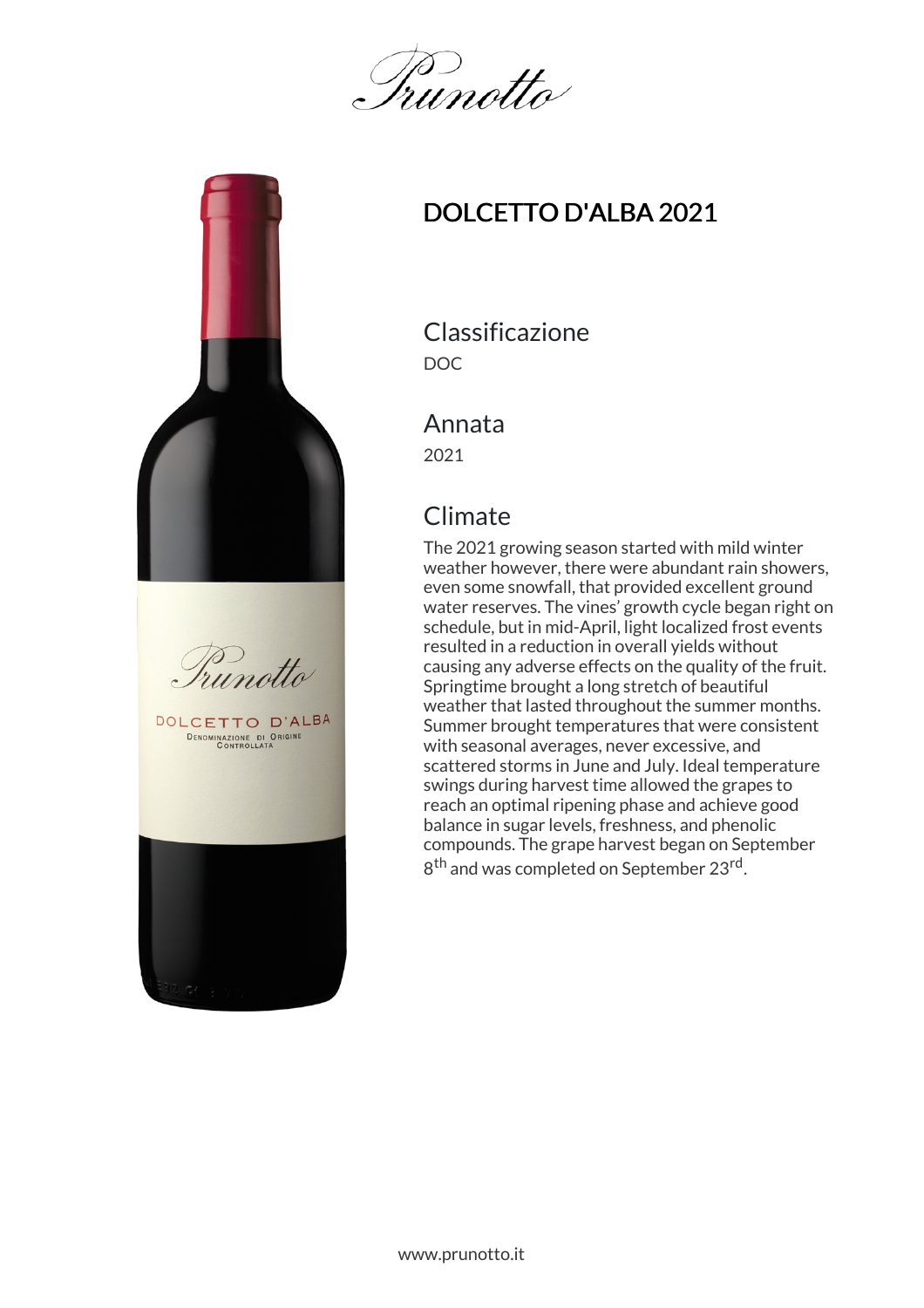Irunotto



# DOLCETTO D'ALBA 2021

Classificazione DOC

#### Annata

2021

## **Climate**

The 2021 growing season started with mild winter weather however, there were abundant rain showers, even some snowfall, that provided excellent ground water reserves. The vines' growth cycle began right on schedule, but in mid-April, light localized frost events resulted in a reduction in overall yields without causing any adverse effects on the quality of the fruit. Springtime brought a long stretch of beautiful weather that lasted throughout the summer months. Summer brought temperatures that were consistent with seasonal averages, never excessive, and scattered storms in June and July. Ideal temperature swings during harvest time allowed the grapes to reach an optimal ripening phase and achieve good balance in sugar levels, freshness, and phenolic compounds. The grape harvest began on September 8<sup>th</sup> and was completed on September 23<sup>rd</sup>.